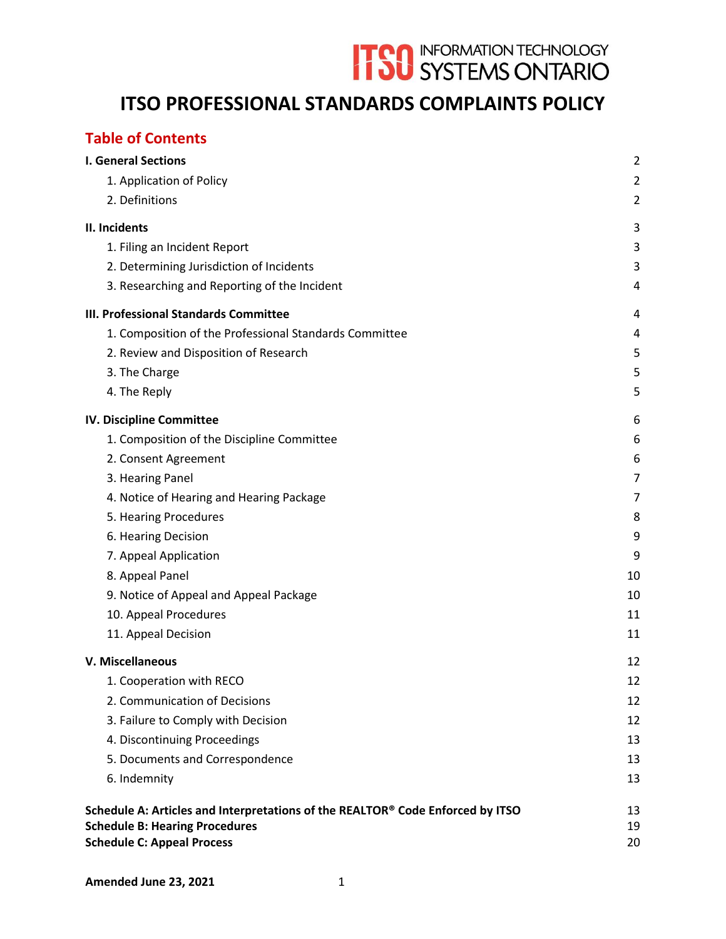# **ITSO** INFORMATION TECHNOLOGY

# **ITSO PROFESSIONAL STANDARDS COMPLAINTS POLICY**

# **Table of Contents**

| <b>I. General Sections</b>                                                     | $\overline{2}$ |
|--------------------------------------------------------------------------------|----------------|
| 1. Application of Policy                                                       | $\overline{2}$ |
| 2. Definitions                                                                 | $\overline{2}$ |
| II. Incidents                                                                  | 3              |
| 1. Filing an Incident Report                                                   | 3              |
| 2. Determining Jurisdiction of Incidents                                       | 3              |
| 3. Researching and Reporting of the Incident                                   | 4              |
| III. Professional Standards Committee                                          | 4              |
| 1. Composition of the Professional Standards Committee                         | 4              |
| 2. Review and Disposition of Research                                          | 5              |
| 3. The Charge                                                                  | 5              |
| 4. The Reply                                                                   | 5              |
| IV. Discipline Committee                                                       | 6              |
| 1. Composition of the Discipline Committee                                     | 6              |
| 2. Consent Agreement                                                           | 6              |
| 3. Hearing Panel                                                               | $\overline{7}$ |
| 4. Notice of Hearing and Hearing Package                                       | 7              |
| 5. Hearing Procedures                                                          | 8              |
| 6. Hearing Decision                                                            | 9              |
| 7. Appeal Application                                                          | 9              |
| 8. Appeal Panel                                                                | 10             |
| 9. Notice of Appeal and Appeal Package                                         | 10             |
| 10. Appeal Procedures                                                          | 11             |
| 11. Appeal Decision                                                            | 11             |
| V. Miscellaneous                                                               | 12             |
| 1. Cooperation with RECO                                                       | 12             |
| 2. Communication of Decisions                                                  | 12             |
| 3. Failure to Comply with Decision                                             | 12             |
| 4. Discontinuing Proceedings                                                   | 13             |
| 5. Documents and Correspondence                                                | 13             |
| 6. Indemnity                                                                   | 13             |
| Schedule A: Articles and Interpretations of the REALTOR® Code Enforced by ITSO | 13             |
| <b>Schedule B: Hearing Procedures</b>                                          | 19             |
| <b>Schedule C: Appeal Process</b>                                              | 20             |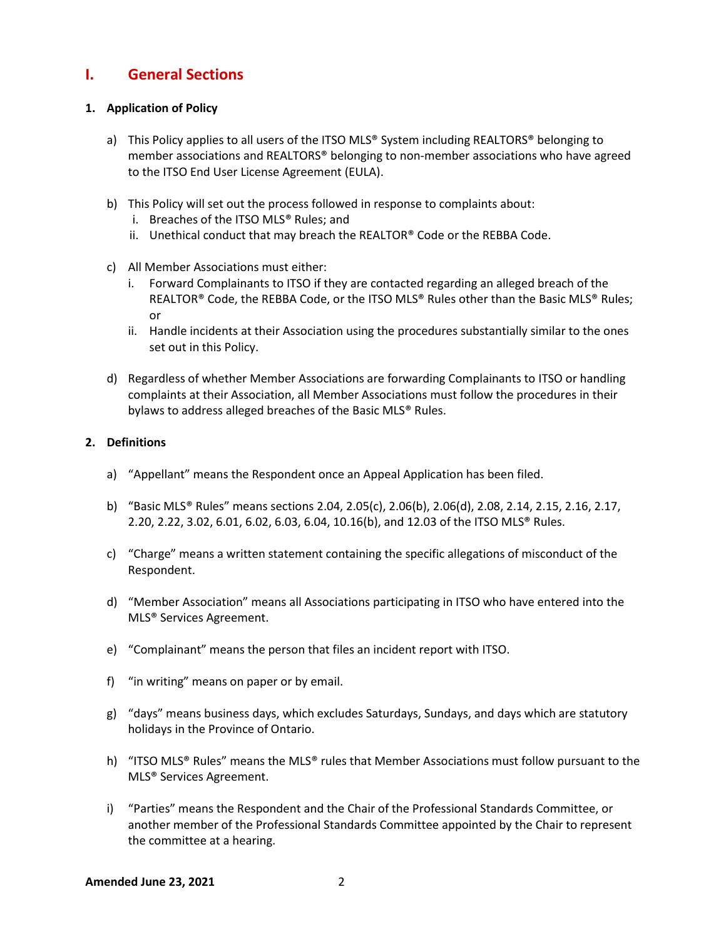# <span id="page-1-0"></span>**I. General Sections**

#### <span id="page-1-1"></span>**1. Application of Policy**

- a) This Policy applies to all users of the ITSO MLS<sup>®</sup> System including REALTORS<sup>®</sup> belonging to member associations and REALTORS® belonging to non-member associations who have agreed to the ITSO End User License Agreement (EULA).
- b) This Policy will set out the process followed in response to complaints about:
	- i. Breaches of the ITSO MLS® Rules; and
	- ii. Unethical conduct that may breach the REALTOR® Code or the REBBA Code.
- c) All Member Associations must either:
	- i. Forward Complainants to ITSO if they are contacted regarding an alleged breach of the REALTOR® Code, the REBBA Code, or the ITSO MLS® Rules other than the Basic MLS® Rules; or
	- ii. Handle incidents at their Association using the procedures substantially similar to the ones set out in this Policy.
- d) Regardless of whether Member Associations are forwarding Complainants to ITSO or handling complaints at their Association, all Member Associations must follow the procedures in their bylaws to address alleged breaches of the Basic MLS® Rules.

#### <span id="page-1-2"></span>**2. Definitions**

- a) "Appellant" means the Respondent once an Appeal Application has been filed.
- b) "Basic MLS® Rules" means sections 2.04, 2.05(c), 2.06(b), 2.06(d), 2.08, 2.14, 2.15, 2.16, 2.17, 2.20, 2.22, 3.02, 6.01, 6.02, 6.03, 6.04, 10.16(b), and 12.03 of the ITSO MLS® Rules.
- c) "Charge" means a written statement containing the specific allegations of misconduct of the Respondent.
- d) "Member Association" means all Associations participating in ITSO who have entered into the MLS® Services Agreement.
- e) "Complainant" means the person that files an incident report with ITSO.
- f) "in writing" means on paper or by email.
- g) "days" means business days, which excludes Saturdays, Sundays, and days which are statutory holidays in the Province of Ontario.
- h) "ITSO MLS® Rules" means the MLS® rules that Member Associations must follow pursuant to the MLS® Services Agreement.
- i) "Parties" means the Respondent and the Chair of the Professional Standards Committee, or another member of the Professional Standards Committee appointed by the Chair to represent the committee at a hearing.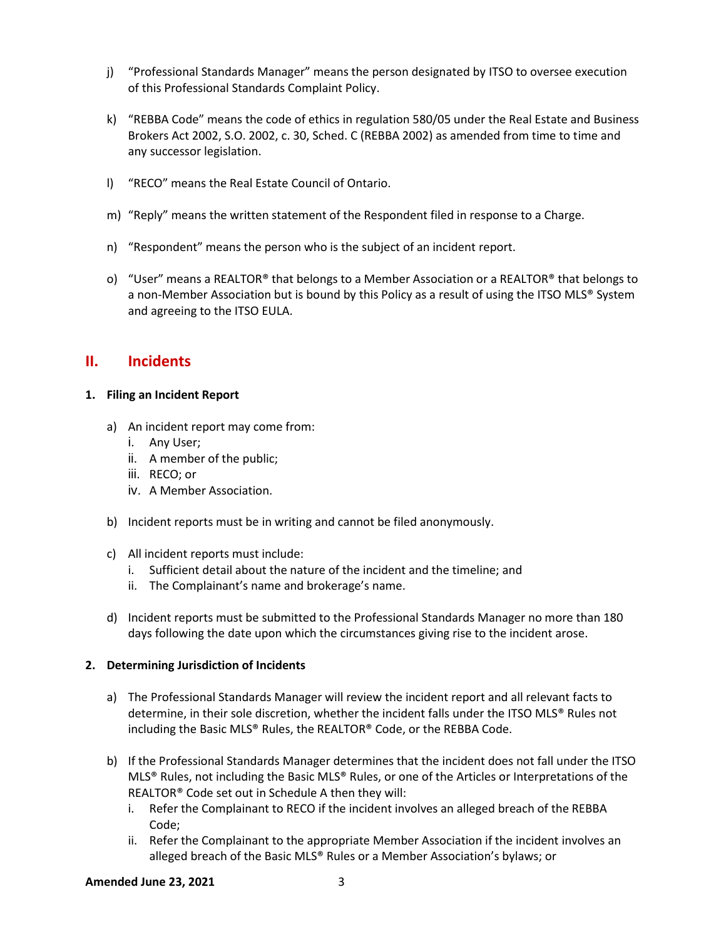- j) "Professional Standards Manager" means the person designated by ITSO to oversee execution of this Professional Standards Complaint Policy.
- k) "REBBA Code" means the code of ethics in regulation 580/05 under the Real Estate and Business Brokers Act 2002, S.O. 2002, c. 30, Sched. C (REBBA 2002) as amended from time to time and any successor legislation.
- l) "RECO" means the Real Estate Council of Ontario.
- m) "Reply" means the written statement of the Respondent filed in response to a Charge.
- n) "Respondent" means the person who is the subject of an incident report.
- o) "User" means a REALTOR® that belongs to a Member Association or a REALTOR® that belongs to a non-Member Association but is bound by this Policy as a result of using the ITSO MLS<sup>®</sup> System and agreeing to the ITSO EULA.

# <span id="page-2-0"></span>**II. Incidents**

#### <span id="page-2-1"></span>**1. Filing an Incident Report**

- a) An incident report may come from:
	- i. Any User;
	- ii. A member of the public;
	- iii. RECO; or
	- iv. A Member Association.
- b) Incident reports must be in writing and cannot be filed anonymously.
- c) All incident reports must include:
	- i. Sufficient detail about the nature of the incident and the timeline; and
	- ii. The Complainant's name and brokerage's name.
- d) Incident reports must be submitted to the Professional Standards Manager no more than 180 days following the date upon which the circumstances giving rise to the incident arose.

#### <span id="page-2-2"></span>**2. Determining Jurisdiction of Incidents**

- a) The Professional Standards Manager will review the incident report and all relevant facts to determine, in their sole discretion, whether the incident falls under the ITSO MLS® Rules not including the Basic MLS® Rules, the REALTOR® Code, or the REBBA Code.
- b) If the Professional Standards Manager determines that the incident does not fall under the ITSO MLS® Rules, not including the Basic MLS® Rules, or one of the Articles or Interpretations of the REALTOR® Code set out in Schedule A then they will:
	- i. Refer the Complainant to RECO if the incident involves an alleged breach of the REBBA Code;
	- ii. Refer the Complainant to the appropriate Member Association if the incident involves an alleged breach of the Basic MLS® Rules or a Member Association's bylaws; or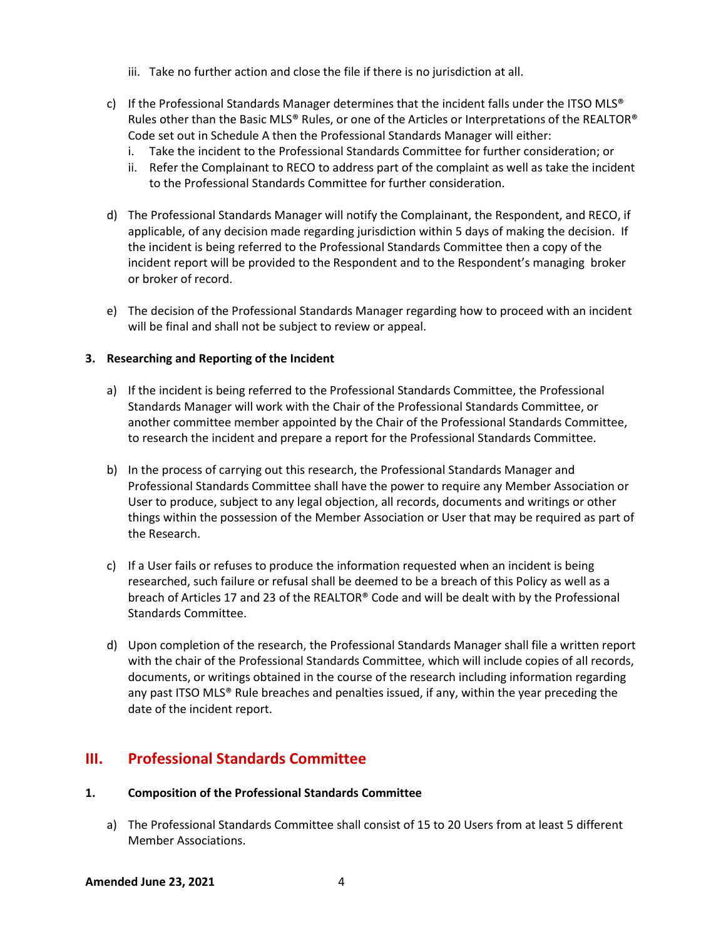- iii. Take no further action and close the file if there is no jurisdiction at all.
- c) If the Professional Standards Manager determines that the incident falls under the ITSO MLS® Rules other than the Basic MLS® Rules, or one of the Articles or Interpretations of the REALTOR® Code set out in Schedule A then the Professional Standards Manager will either:
	- i. Take the incident to the Professional Standards Committee for further consideration; or
	- ii. Refer the Complainant to RECO to address part of the complaint as well as take the incident to the Professional Standards Committee for further consideration.
- d) The Professional Standards Manager will notify the Complainant, the Respondent, and RECO, if applicable, of any decision made regarding jurisdiction within 5 days of making the decision. If the incident is being referred to the Professional Standards Committee then a copy of the incident report will be provided to the Respondent and to the Respondent's managing broker or broker of record.
- e) The decision of the Professional Standards Manager regarding how to proceed with an incident will be final and shall not be subject to review or appeal.

#### <span id="page-3-0"></span>**3. Researching and Reporting of the Incident**

- a) If the incident is being referred to the Professional Standards Committee, the Professional Standards Manager will work with the Chair of the Professional Standards Committee, or another committee member appointed by the Chair of the Professional Standards Committee, to research the incident and prepare a report for the Professional Standards Committee.
- b) In the process of carrying out this research, the Professional Standards Manager and Professional Standards Committee shall have the power to require any Member Association or User to produce, subject to any legal objection, all records, documents and writings or other things within the possession of the Member Association or User that may be required as part of the Research.
- c) If a User fails or refuses to produce the information requested when an incident is being researched, such failure or refusal shall be deemed to be a breach of this Policy as well as a breach of Articles 17 and 23 of the REALTOR® Code and will be dealt with by the Professional Standards Committee.
- d) Upon completion of the research, the Professional Standards Manager shall file a written report with the chair of the Professional Standards Committee, which will include copies of all records, documents, or writings obtained in the course of the research including information regarding any past ITSO MLS® Rule breaches and penalties issued, if any, within the year preceding the date of the incident report.

# <span id="page-3-1"></span>**III. Professional Standards Committee**

#### <span id="page-3-2"></span>**1. Composition of the Professional Standards Committee**

a) The Professional Standards Committee shall consist of 15 to 20 Users from at least 5 different Member Associations.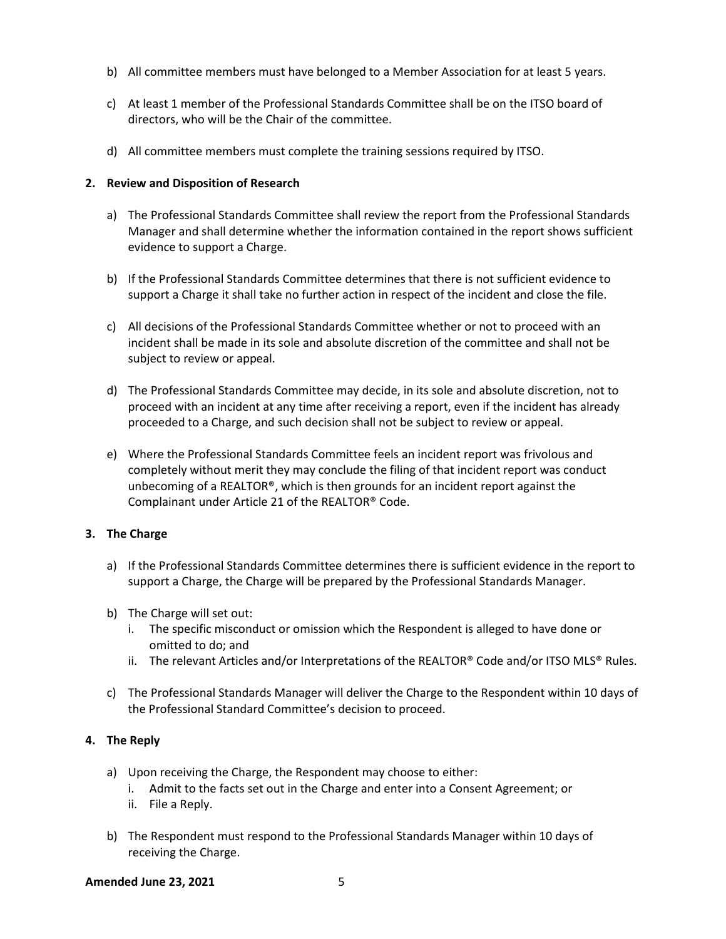- b) All committee members must have belonged to a Member Association for at least 5 years.
- c) At least 1 member of the Professional Standards Committee shall be on the ITSO board of directors, who will be the Chair of the committee.
- d) All committee members must complete the training sessions required by ITSO.

#### <span id="page-4-0"></span>**2. Review and Disposition of Research**

- a) The Professional Standards Committee shall review the report from the Professional Standards Manager and shall determine whether the information contained in the report shows sufficient evidence to support a Charge.
- b) If the Professional Standards Committee determines that there is not sufficient evidence to support a Charge it shall take no further action in respect of the incident and close the file.
- c) All decisions of the Professional Standards Committee whether or not to proceed with an incident shall be made in its sole and absolute discretion of the committee and shall not be subject to review or appeal.
- d) The Professional Standards Committee may decide, in its sole and absolute discretion, not to proceed with an incident at any time after receiving a report, even if the incident has already proceeded to a Charge, and such decision shall not be subject to review or appeal.
- e) Where the Professional Standards Committee feels an incident report was frivolous and completely without merit they may conclude the filing of that incident report was conduct unbecoming of a REALTOR®, which is then grounds for an incident report against the Complainant under Article 21 of the REALTOR® Code.

#### <span id="page-4-1"></span>**3. The Charge**

- a) If the Professional Standards Committee determines there is sufficient evidence in the report to support a Charge, the Charge will be prepared by the Professional Standards Manager.
- b) The Charge will set out:
	- i. The specific misconduct or omission which the Respondent is alleged to have done or omitted to do; and
	- ii. The relevant Articles and/or Interpretations of the REALTOR® Code and/or ITSO MLS® Rules.
- c) The Professional Standards Manager will deliver the Charge to the Respondent within 10 days of the Professional Standard Committee's decision to proceed.

#### <span id="page-4-2"></span>**4. The Reply**

- a) Upon receiving the Charge, the Respondent may choose to either:
	- i. Admit to the facts set out in the Charge and enter into a Consent Agreement; or
	- ii. File a Reply.
- b) The Respondent must respond to the Professional Standards Manager within 10 days of receiving the Charge.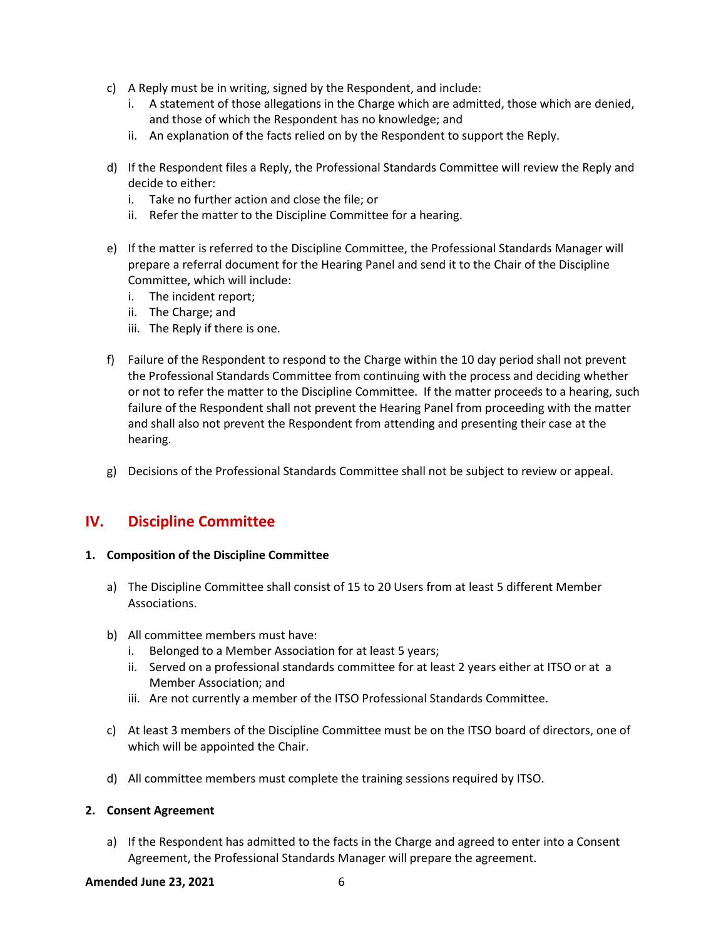- c) A Reply must be in writing, signed by the Respondent, and include:
	- i. A statement of those allegations in the Charge which are admitted, those which are denied, and those of which the Respondent has no knowledge; and
	- ii. An explanation of the facts relied on by the Respondent to support the Reply.
- d) If the Respondent files a Reply, the Professional Standards Committee will review the Reply and decide to either:
	- i. Take no further action and close the file; or
	- ii. Refer the matter to the Discipline Committee for a hearing.
- e) If the matter is referred to the Discipline Committee, the Professional Standards Manager will prepare a referral document for the Hearing Panel and send it to the Chair of the Discipline Committee, which will include:
	- i. The incident report;
	- ii. The Charge; and
	- iii. The Reply if there is one.
- f) Failure of the Respondent to respond to the Charge within the 10 day period shall not prevent the Professional Standards Committee from continuing with the process and deciding whether or not to refer the matter to the Discipline Committee. If the matter proceeds to a hearing, such failure of the Respondent shall not prevent the Hearing Panel from proceeding with the matter and shall also not prevent the Respondent from attending and presenting their case at the hearing.
- g) Decisions of the Professional Standards Committee shall not be subject to review or appeal.

# <span id="page-5-0"></span>**IV. Discipline Committee**

#### <span id="page-5-1"></span>**1. Composition of the Discipline Committee**

- a) The Discipline Committee shall consist of 15 to 20 Users from at least 5 different Member Associations.
- b) All committee members must have:
	- i. Belonged to a Member Association for at least 5 years;
	- ii. Served on a professional standards committee for at least 2 years either at ITSO or at a Member Association; and
	- iii. Are not currently a member of the ITSO Professional Standards Committee.
- c) At least 3 members of the Discipline Committee must be on the ITSO board of directors, one of which will be appointed the Chair.
- d) All committee members must complete the training sessions required by ITSO.

#### <span id="page-5-2"></span>**2. Consent Agreement**

a) If the Respondent has admitted to the facts in the Charge and agreed to enter into a Consent Agreement, the Professional Standards Manager will prepare the agreement.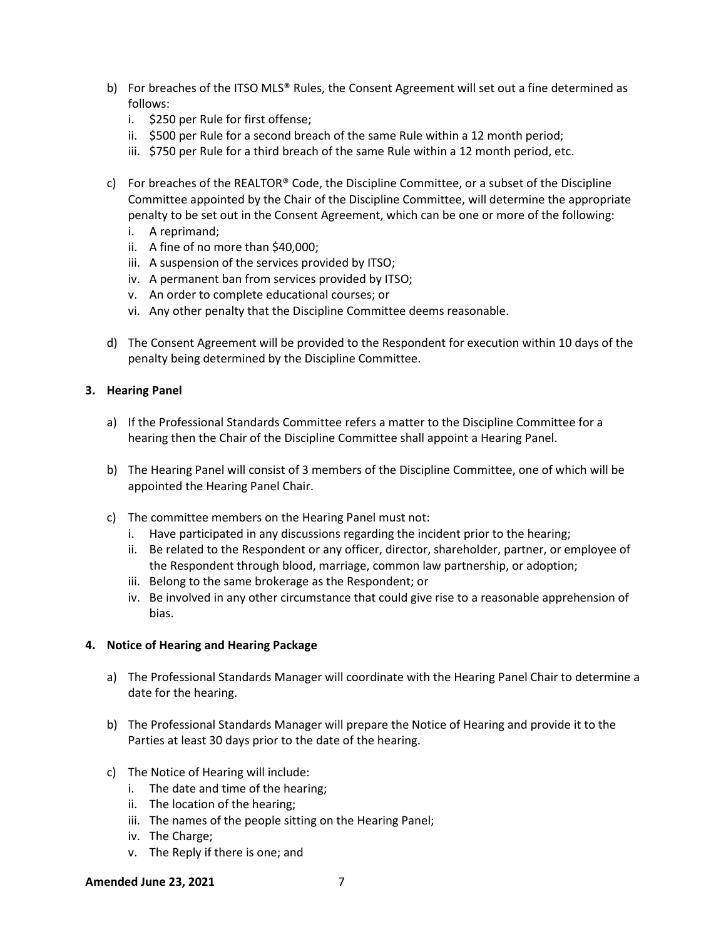- b) For breaches of the ITSO MLS® Rules, the Consent Agreement will set out a fine determined as follows:
	- i. \$250 per Rule for first offense;
	- ii. \$500 per Rule for a second breach of the same Rule within a 12 month period;
	- iii. \$750 per Rule for a third breach of the same Rule within a 12 month period, etc.
- c) For breaches of the REALTOR® Code, the Discipline Committee, or a subset of the Discipline Committee appointed by the Chair of the Discipline Committee, will determine the appropriate penalty to be set out in the Consent Agreement, which can be one or more of the following:
	- i. A reprimand;
	- ii. A fine of no more than \$40,000;
	- iii. A suspension of the services provided by ITSO;
	- iv. A permanent ban from services provided by ITSO;
	- v. An order to complete educational courses; or
	- vi. Any other penalty that the Discipline Committee deems reasonable.
- d) The Consent Agreement will be provided to the Respondent for execution within 10 days of the penalty being determined by the Discipline Committee.

#### <span id="page-6-0"></span>**3. Hearing Panel**

- a) If the Professional Standards Committee refers a matter to the Discipline Committee for a hearing then the Chair of the Discipline Committee shall appoint a Hearing Panel.
- b) The Hearing Panel will consist of 3 members of the Discipline Committee, one of which will be appointed the Hearing Panel Chair.
- c) The committee members on the Hearing Panel must not:
	- i. Have participated in any discussions regarding the incident prior to the hearing;
	- ii. Be related to the Respondent or any officer, director, shareholder, partner, or employee of the Respondent through blood, marriage, common law partnership, or adoption;
	- iii. Belong to the same brokerage as the Respondent; or
	- iv. Be involved in any other circumstance that could give rise to a reasonable apprehension of bias.

#### <span id="page-6-1"></span>**4. Notice of Hearing and Hearing Package**

- a) The Professional Standards Manager will coordinate with the Hearing Panel Chair to determine a date for the hearing.
- b) The Professional Standards Manager will prepare the Notice of Hearing and provide it to the Parties at least 30 days prior to the date of the hearing.
- c) The Notice of Hearing will include:
	- i. The date and time of the hearing;
	- ii. The location of the hearing;
	- iii. The names of the people sitting on the Hearing Panel;
	- iv. The Charge;
	- v. The Reply if there is one; and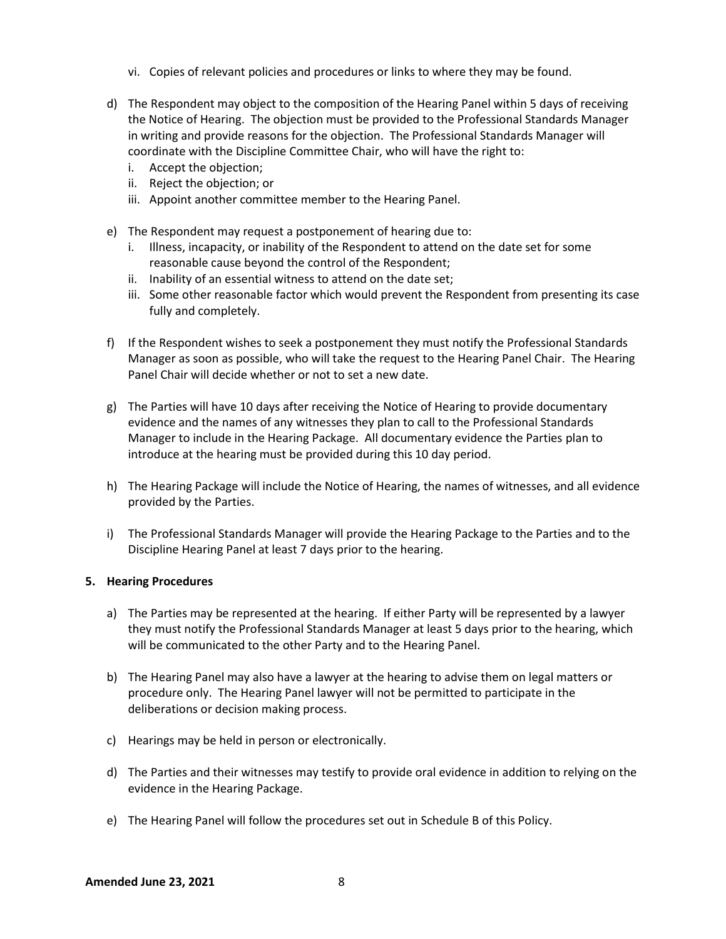- vi. Copies of relevant policies and procedures or links to where they may be found.
- d) The Respondent may object to the composition of the Hearing Panel within 5 days of receiving the Notice of Hearing. The objection must be provided to the Professional Standards Manager in writing and provide reasons for the objection. The Professional Standards Manager will coordinate with the Discipline Committee Chair, who will have the right to:
	- i. Accept the objection;
	- ii. Reject the objection; or
	- iii. Appoint another committee member to the Hearing Panel.
- e) The Respondent may request a postponement of hearing due to:
	- i. Illness, incapacity, or inability of the Respondent to attend on the date set for some reasonable cause beyond the control of the Respondent;
	- ii. Inability of an essential witness to attend on the date set;
	- iii. Some other reasonable factor which would prevent the Respondent from presenting its case fully and completely.
- f) If the Respondent wishes to seek a postponement they must notify the Professional Standards Manager as soon as possible, who will take the request to the Hearing Panel Chair. The Hearing Panel Chair will decide whether or not to set a new date.
- g) The Parties will have 10 days after receiving the Notice of Hearing to provide documentary evidence and the names of any witnesses they plan to call to the Professional Standards Manager to include in the Hearing Package. All documentary evidence the Parties plan to introduce at the hearing must be provided during this 10 day period.
- h) The Hearing Package will include the Notice of Hearing, the names of witnesses, and all evidence provided by the Parties.
- i) The Professional Standards Manager will provide the Hearing Package to the Parties and to the Discipline Hearing Panel at least 7 days prior to the hearing.

#### <span id="page-7-0"></span>**5. Hearing Procedures**

- a) The Parties may be represented at the hearing. If either Party will be represented by a lawyer they must notify the Professional Standards Manager at least 5 days prior to the hearing, which will be communicated to the other Party and to the Hearing Panel.
- b) The Hearing Panel may also have a lawyer at the hearing to advise them on legal matters or procedure only. The Hearing Panel lawyer will not be permitted to participate in the deliberations or decision making process.
- c) Hearings may be held in person or electronically.
- d) The Parties and their witnesses may testify to provide oral evidence in addition to relying on the evidence in the Hearing Package.
- e) The Hearing Panel will follow the procedures set out in Schedule B of this Policy.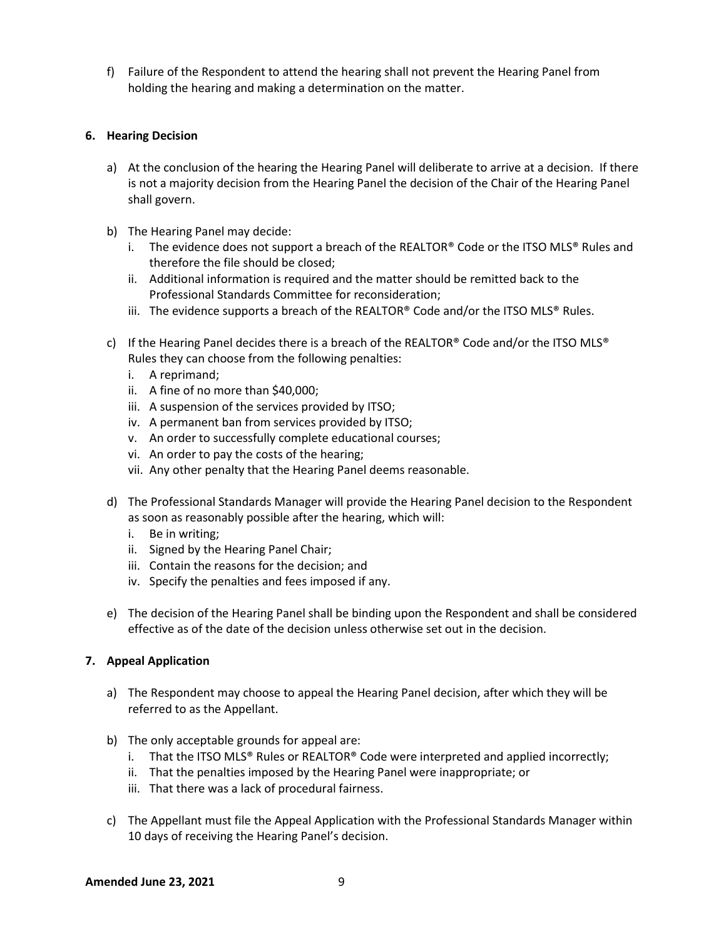f) Failure of the Respondent to attend the hearing shall not prevent the Hearing Panel from holding the hearing and making a determination on the matter.

#### <span id="page-8-0"></span>**6. Hearing Decision**

- a) At the conclusion of the hearing the Hearing Panel will deliberate to arrive at a decision. If there is not a majority decision from the Hearing Panel the decision of the Chair of the Hearing Panel shall govern.
- b) The Hearing Panel may decide:
	- i. The evidence does not support a breach of the REALTOR® Code or the ITSO MLS® Rules and therefore the file should be closed;
	- ii. Additional information is required and the matter should be remitted back to the Professional Standards Committee for reconsideration;
	- iii. The evidence supports a breach of the REALTOR® Code and/or the ITSO MLS® Rules.
- c) If the Hearing Panel decides there is a breach of the REALTOR® Code and/or the ITSO MLS® Rules they can choose from the following penalties:
	- i. A reprimand;
	- ii. A fine of no more than \$40,000;
	- iii. A suspension of the services provided by ITSO;
	- iv. A permanent ban from services provided by ITSO;
	- v. An order to successfully complete educational courses;
	- vi. An order to pay the costs of the hearing;
	- vii. Any other penalty that the Hearing Panel deems reasonable.
- d) The Professional Standards Manager will provide the Hearing Panel decision to the Respondent as soon as reasonably possible after the hearing, which will:
	- i. Be in writing;
	- ii. Signed by the Hearing Panel Chair;
	- iii. Contain the reasons for the decision; and
	- iv. Specify the penalties and fees imposed if any.
- e) The decision of the Hearing Panel shall be binding upon the Respondent and shall be considered effective as of the date of the decision unless otherwise set out in the decision.

#### <span id="page-8-1"></span>**7. Appeal Application**

- a) The Respondent may choose to appeal the Hearing Panel decision, after which they will be referred to as the Appellant.
- b) The only acceptable grounds for appeal are:
	- i. That the ITSO MLS® Rules or REALTOR® Code were interpreted and applied incorrectly;
	- ii. That the penalties imposed by the Hearing Panel were inappropriate; or
	- iii. That there was a lack of procedural fairness.
- c) The Appellant must file the Appeal Application with the Professional Standards Manager within 10 days of receiving the Hearing Panel's decision.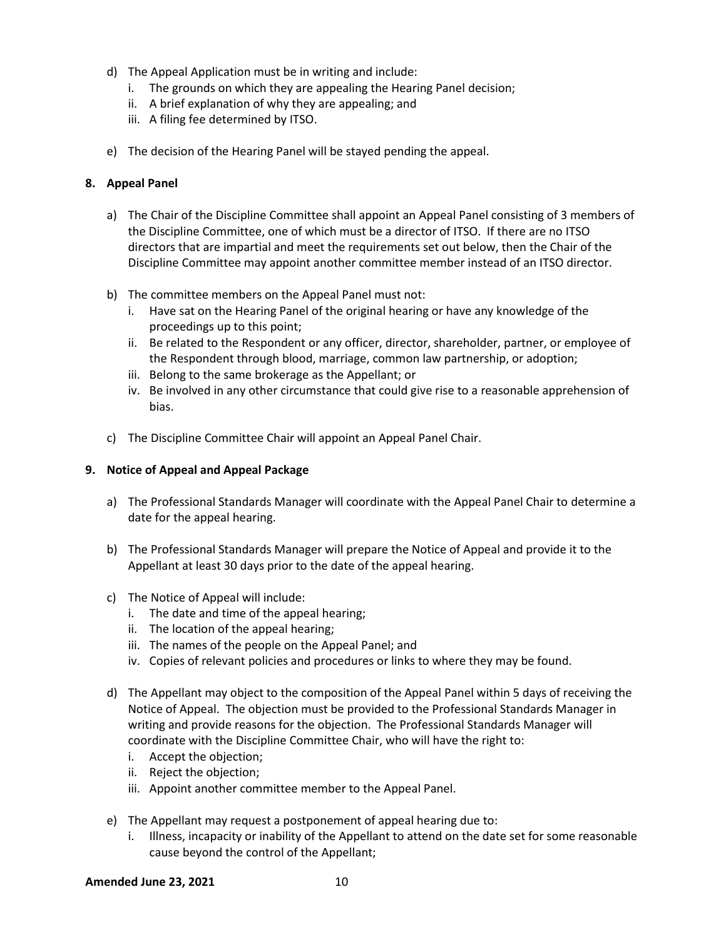- d) The Appeal Application must be in writing and include:
	- i. The grounds on which they are appealing the Hearing Panel decision;
	- ii. A brief explanation of why they are appealing; and
	- iii. A filing fee determined by ITSO.
- e) The decision of the Hearing Panel will be stayed pending the appeal.

#### <span id="page-9-0"></span>**8. Appeal Panel**

- a) The Chair of the Discipline Committee shall appoint an Appeal Panel consisting of 3 members of the Discipline Committee, one of which must be a director of ITSO. If there are no ITSO directors that are impartial and meet the requirements set out below, then the Chair of the Discipline Committee may appoint another committee member instead of an ITSO director.
- b) The committee members on the Appeal Panel must not:
	- i. Have sat on the Hearing Panel of the original hearing or have any knowledge of the proceedings up to this point;
	- ii. Be related to the Respondent or any officer, director, shareholder, partner, or employee of the Respondent through blood, marriage, common law partnership, or adoption;
	- iii. Belong to the same brokerage as the Appellant; or
	- iv. Be involved in any other circumstance that could give rise to a reasonable apprehension of bias.
- c) The Discipline Committee Chair will appoint an Appeal Panel Chair.

#### <span id="page-9-1"></span>**9. Notice of Appeal and Appeal Package**

- a) The Professional Standards Manager will coordinate with the Appeal Panel Chair to determine a date for the appeal hearing.
- b) The Professional Standards Manager will prepare the Notice of Appeal and provide it to the Appellant at least 30 days prior to the date of the appeal hearing.
- c) The Notice of Appeal will include:
	- i. The date and time of the appeal hearing;
	- ii. The location of the appeal hearing;
	- iii. The names of the people on the Appeal Panel; and
	- iv. Copies of relevant policies and procedures or links to where they may be found.
- d) The Appellant may object to the composition of the Appeal Panel within 5 days of receiving the Notice of Appeal. The objection must be provided to the Professional Standards Manager in writing and provide reasons for the objection. The Professional Standards Manager will coordinate with the Discipline Committee Chair, who will have the right to:
	- i. Accept the objection;
	- ii. Reject the objection;
	- iii. Appoint another committee member to the Appeal Panel.
- e) The Appellant may request a postponement of appeal hearing due to:
	- i. Illness, incapacity or inability of the Appellant to attend on the date set for some reasonable cause beyond the control of the Appellant;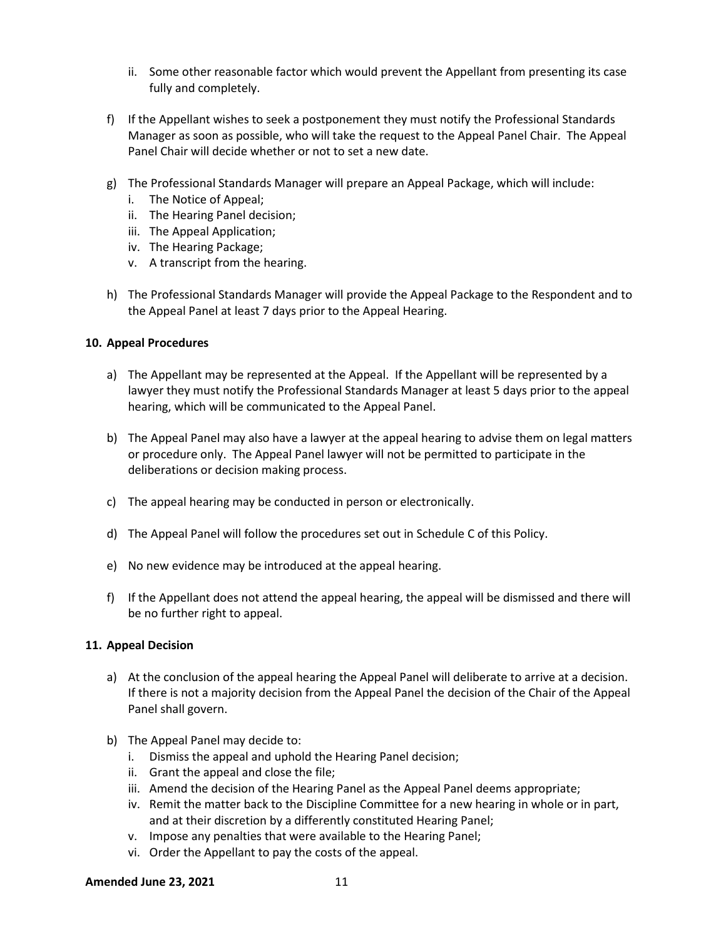- ii. Some other reasonable factor which would prevent the Appellant from presenting its case fully and completely.
- f) If the Appellant wishes to seek a postponement they must notify the Professional Standards Manager as soon as possible, who will take the request to the Appeal Panel Chair. The Appeal Panel Chair will decide whether or not to set a new date.
- g) The Professional Standards Manager will prepare an Appeal Package, which will include:
	- i. The Notice of Appeal;
	- ii. The Hearing Panel decision;
	- iii. The Appeal Application;
	- iv. The Hearing Package;
	- v. A transcript from the hearing.
- h) The Professional Standards Manager will provide the Appeal Package to the Respondent and to the Appeal Panel at least 7 days prior to the Appeal Hearing.

#### <span id="page-10-0"></span>**10. Appeal Procedures**

- a) The Appellant may be represented at the Appeal. If the Appellant will be represented by a lawyer they must notify the Professional Standards Manager at least 5 days prior to the appeal hearing, which will be communicated to the Appeal Panel.
- b) The Appeal Panel may also have a lawyer at the appeal hearing to advise them on legal matters or procedure only. The Appeal Panel lawyer will not be permitted to participate in the deliberations or decision making process.
- c) The appeal hearing may be conducted in person or electronically.
- d) The Appeal Panel will follow the procedures set out in Schedule C of this Policy.
- e) No new evidence may be introduced at the appeal hearing.
- f) If the Appellant does not attend the appeal hearing, the appeal will be dismissed and there will be no further right to appeal.

#### <span id="page-10-1"></span>**11. Appeal Decision**

- a) At the conclusion of the appeal hearing the Appeal Panel will deliberate to arrive at a decision. If there is not a majority decision from the Appeal Panel the decision of the Chair of the Appeal Panel shall govern.
- b) The Appeal Panel may decide to:
	- i. Dismiss the appeal and uphold the Hearing Panel decision;
	- ii. Grant the appeal and close the file;
	- iii. Amend the decision of the Hearing Panel as the Appeal Panel deems appropriate;
	- iv. Remit the matter back to the Discipline Committee for a new hearing in whole or in part, and at their discretion by a differently constituted Hearing Panel;
	- v. Impose any penalties that were available to the Hearing Panel;
	- vi. Order the Appellant to pay the costs of the appeal.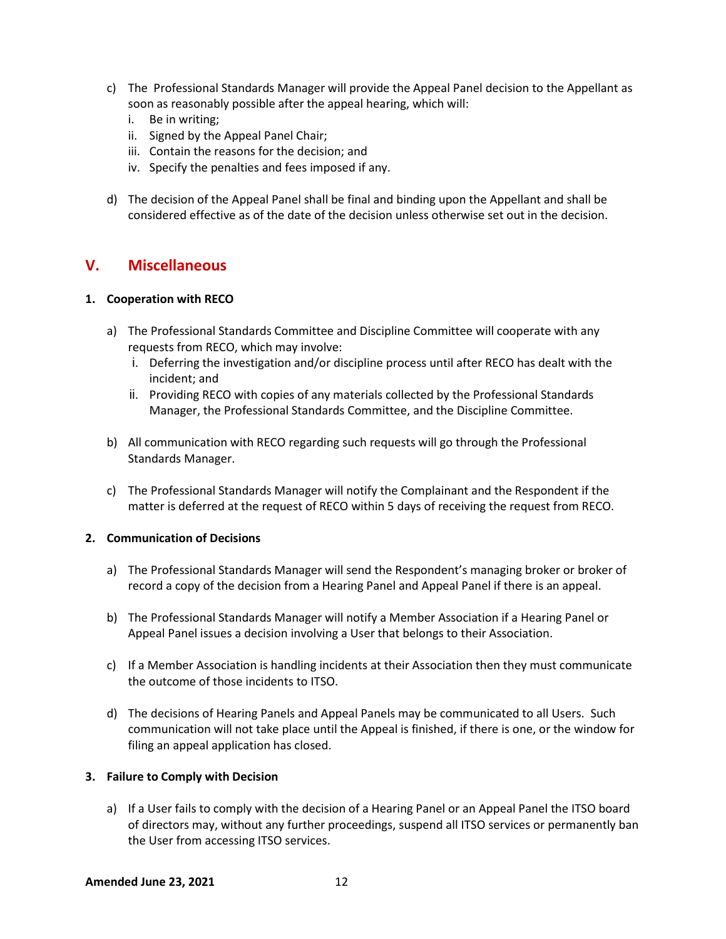- c) The Professional Standards Manager will provide the Appeal Panel decision to the Appellant as soon as reasonably possible after the appeal hearing, which will:
	- i. Be in writing;
	- ii. Signed by the Appeal Panel Chair;
	- iii. Contain the reasons for the decision; and
	- iv. Specify the penalties and fees imposed if any.
- d) The decision of the Appeal Panel shall be final and binding upon the Appellant and shall be considered effective as of the date of the decision unless otherwise set out in the decision.

# <span id="page-11-0"></span>**V. Miscellaneous**

#### <span id="page-11-1"></span>**1. Cooperation with RECO**

- a) The Professional Standards Committee and Discipline Committee will cooperate with any requests from RECO, which may involve:
	- i. Deferring the investigation and/or discipline process until after RECO has dealt with the incident; and
	- ii. Providing RECO with copies of any materials collected by the Professional Standards Manager, the Professional Standards Committee, and the Discipline Committee.
- b) All communication with RECO regarding such requests will go through the Professional Standards Manager.
- c) The Professional Standards Manager will notify the Complainant and the Respondent if the matter is deferred at the request of RECO within 5 days of receiving the request from RECO.

#### <span id="page-11-2"></span>**2. Communication of Decisions**

- a) The Professional Standards Manager will send the Respondent's managing broker or broker of record a copy of the decision from a Hearing Panel and Appeal Panel if there is an appeal.
- b) The Professional Standards Manager will notify a Member Association if a Hearing Panel or Appeal Panel issues a decision involving a User that belongs to their Association.
- c) If a Member Association is handling incidents at their Association then they must communicate the outcome of those incidents to ITSO.
- d) The decisions of Hearing Panels and Appeal Panels may be communicated to all Users. Such communication will not take place until the Appeal is finished, if there is one, or the window for filing an appeal application has closed.

#### <span id="page-11-3"></span>**3. Failure to Comply with Decision**

a) If a User fails to comply with the decision of a Hearing Panel or an Appeal Panel the ITSO board of directors may, without any further proceedings, suspend all ITSO services or permanently ban the User from accessing ITSO services.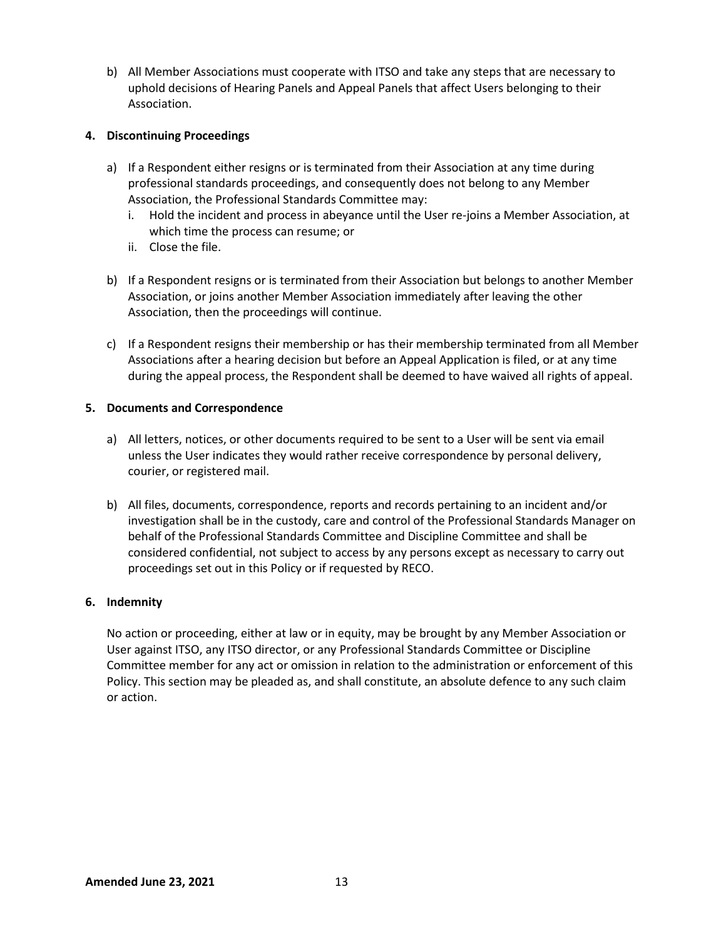b) All Member Associations must cooperate with ITSO and take any steps that are necessary to uphold decisions of Hearing Panels and Appeal Panels that affect Users belonging to their Association.

#### <span id="page-12-0"></span>**4. Discontinuing Proceedings**

- a) If a Respondent either resigns or is terminated from their Association at any time during professional standards proceedings, and consequently does not belong to any Member Association, the Professional Standards Committee may:
	- i. Hold the incident and process in abeyance until the User re-joins a Member Association, at which time the process can resume; or
	- ii. Close the file.
- b) If a Respondent resigns or is terminated from their Association but belongs to another Member Association, or joins another Member Association immediately after leaving the other Association, then the proceedings will continue.
- c) If a Respondent resigns their membership or has their membership terminated from all Member Associations after a hearing decision but before an Appeal Application is filed, or at any time during the appeal process, the Respondent shall be deemed to have waived all rights of appeal.

#### <span id="page-12-1"></span>**5. Documents and Correspondence**

- a) All letters, notices, or other documents required to be sent to a User will be sent via email unless the User indicates they would rather receive correspondence by personal delivery, courier, or registered mail.
- b) All files, documents, correspondence, reports and records pertaining to an incident and/or investigation shall be in the custody, care and control of the Professional Standards Manager on behalf of the Professional Standards Committee and Discipline Committee and shall be considered confidential, not subject to access by any persons except as necessary to carry out proceedings set out in this Policy or if requested by RECO.

#### <span id="page-12-2"></span>**6. Indemnity**

<span id="page-12-3"></span>No action or proceeding, either at law or in equity, may be brought by any Member Association or User against ITSO, any ITSO director, or any Professional Standards Committee or Discipline Committee member for any act or omission in relation to the administration or enforcement of this Policy. This section may be pleaded as, and shall constitute, an absolute defence to any such claim or action.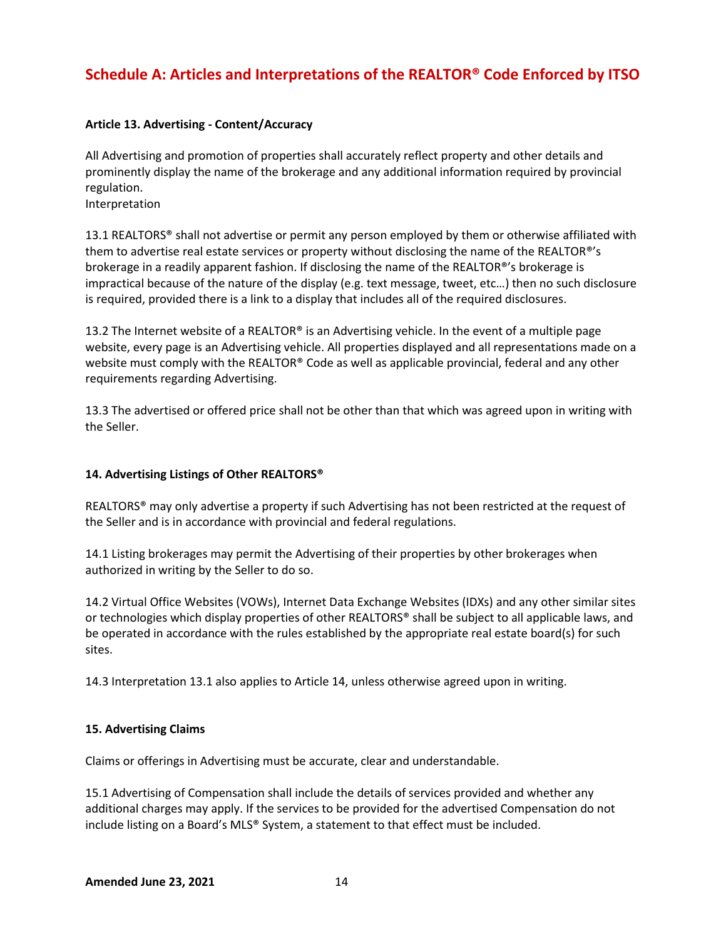# **Schedule A: Articles and Interpretations of the REALTOR® Code Enforced by ITSO**

#### **Article 13. Advertising - Content/Accuracy**

All Advertising and promotion of properties shall accurately reflect property and other details and prominently display the name of the brokerage and any additional information required by provincial regulation.

Interpretation

13.1 REALTORS® shall not advertise or permit any person employed by them or otherwise affiliated with them to advertise real estate services or property without disclosing the name of the REALTOR®'s brokerage in a readily apparent fashion. If disclosing the name of the REALTOR®'s brokerage is impractical because of the nature of the display (e.g. text message, tweet, etc…) then no such disclosure is required, provided there is a link to a display that includes all of the required disclosures.

13.2 The Internet website of a REALTOR® is an Advertising vehicle. In the event of a multiple page website, every page is an Advertising vehicle. All properties displayed and all representations made on a website must comply with the REALTOR® Code as well as applicable provincial, federal and any other requirements regarding Advertising.

13.3 The advertised or offered price shall not be other than that which was agreed upon in writing with the Seller.

#### **14. Advertising Listings of Other REALTORS®**

REALTORS® may only advertise a property if such Advertising has not been restricted at the request of the Seller and is in accordance with provincial and federal regulations.

14.1 Listing brokerages may permit the Advertising of their properties by other brokerages when authorized in writing by the Seller to do so.

14.2 Virtual Office Websites (VOWs), Internet Data Exchange Websites (IDXs) and any other similar sites or technologies which display properties of other REALTORS® shall be subject to all applicable laws, and be operated in accordance with the rules established by the appropriate real estate board(s) for such sites.

14.3 Interpretation 13.1 also applies to Article 14, unless otherwise agreed upon in writing.

#### **15. Advertising Claims**

Claims or offerings in Advertising must be accurate, clear and understandable.

15.1 Advertising of Compensation shall include the details of services provided and whether any additional charges may apply. If the services to be provided for the advertised Compensation do not include listing on a Board's MLS® System, a statement to that effect must be included.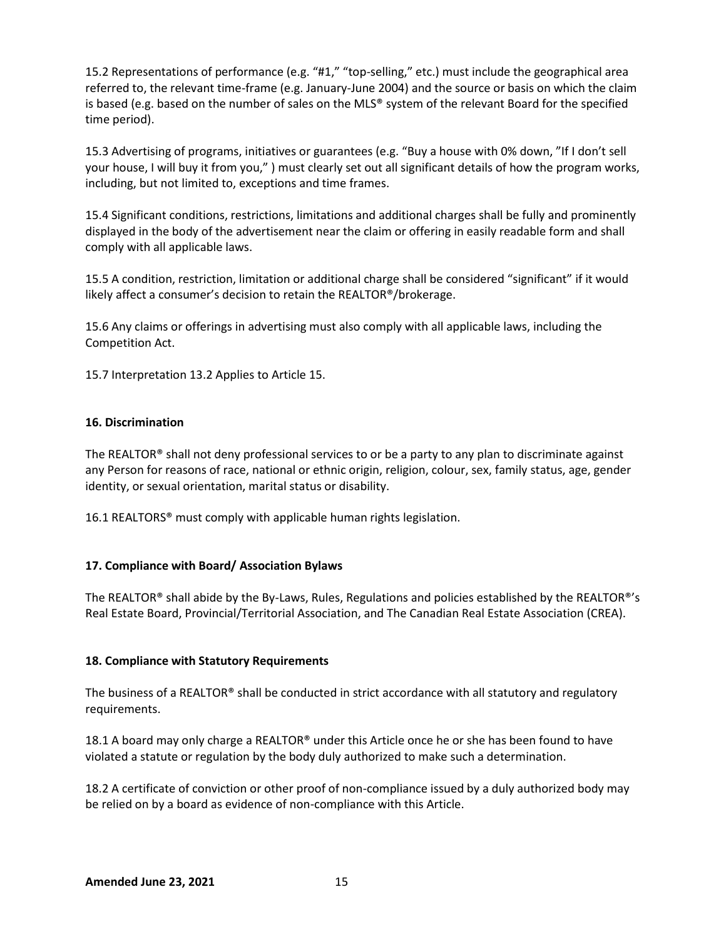15.2 Representations of performance (e.g. "#1," "top-selling," etc.) must include the geographical area referred to, the relevant time-frame (e.g. January-June 2004) and the source or basis on which the claim is based (e.g. based on the number of sales on the MLS® system of the relevant Board for the specified time period).

15.3 Advertising of programs, initiatives or guarantees (e.g. "Buy a house with 0% down, "If I don't sell your house, I will buy it from you," ) must clearly set out all significant details of how the program works, including, but not limited to, exceptions and time frames.

15.4 Significant conditions, restrictions, limitations and additional charges shall be fully and prominently displayed in the body of the advertisement near the claim or offering in easily readable form and shall comply with all applicable laws.

15.5 A condition, restriction, limitation or additional charge shall be considered "significant" if it would likely affect a consumer's decision to retain the REALTOR®/brokerage.

15.6 Any claims or offerings in advertising must also comply with all applicable laws, including the Competition Act.

15.7 Interpretation 13.2 Applies to Article 15.

#### **16. Discrimination**

The REALTOR® shall not deny professional services to or be a party to any plan to discriminate against any Person for reasons of race, national or ethnic origin, religion, colour, sex, family status, age, gender identity, or sexual orientation, marital status or disability.

16.1 REALTORS® must comply with applicable human rights legislation.

#### **17. Compliance with Board/ Association Bylaws**

The REALTOR® shall abide by the By-Laws, Rules, Regulations and policies established by the REALTOR®'s Real Estate Board, Provincial/Territorial Association, and The Canadian Real Estate Association (CREA).

#### **18. Compliance with Statutory Requirements**

The business of a REALTOR® shall be conducted in strict accordance with all statutory and regulatory requirements.

18.1 A board may only charge a REALTOR<sup>®</sup> under this Article once he or she has been found to have violated a statute or regulation by the body duly authorized to make such a determination.

18.2 A certificate of conviction or other proof of non-compliance issued by a duly authorized body may be relied on by a board as evidence of non-compliance with this Article.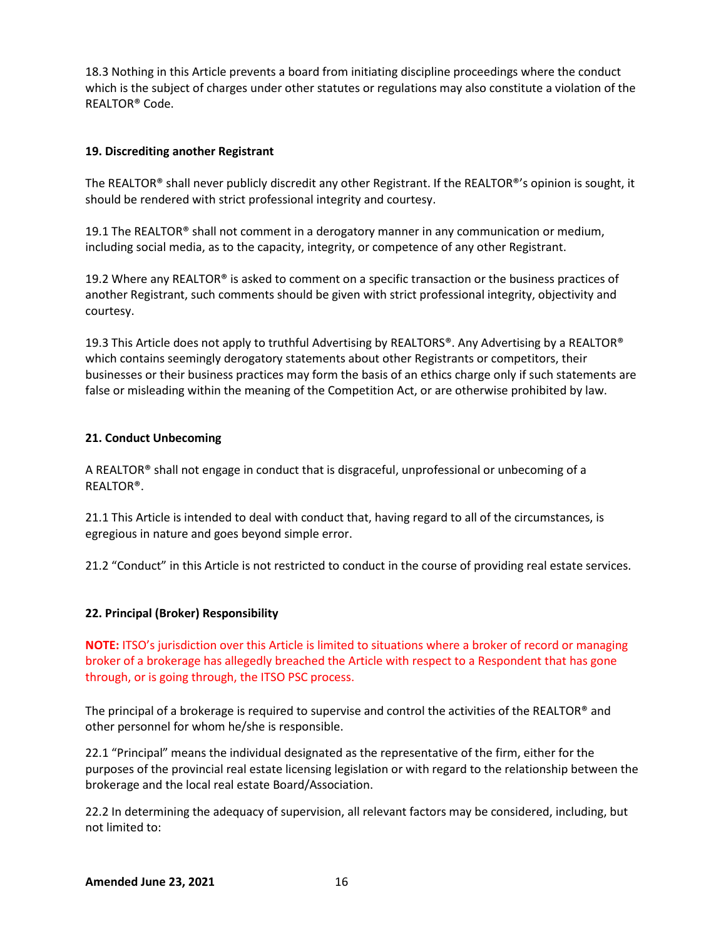18.3 Nothing in this Article prevents a board from initiating discipline proceedings where the conduct which is the subject of charges under other statutes or regulations may also constitute a violation of the REALTOR® Code.

#### **19. Discrediting another Registrant**

The REALTOR® shall never publicly discredit any other Registrant. If the REALTOR®'s opinion is sought, it should be rendered with strict professional integrity and courtesy.

19.1 The REALTOR® shall not comment in a derogatory manner in any communication or medium, including social media, as to the capacity, integrity, or competence of any other Registrant.

19.2 Where any REALTOR® is asked to comment on a specific transaction or the business practices of another Registrant, such comments should be given with strict professional integrity, objectivity and courtesy.

19.3 This Article does not apply to truthful Advertising by REALTORS®. Any Advertising by a REALTOR® which contains seemingly derogatory statements about other Registrants or competitors, their businesses or their business practices may form the basis of an ethics charge only if such statements are false or misleading within the meaning of the Competition Act, or are otherwise prohibited by law.

#### **21. Conduct Unbecoming**

A REALTOR® shall not engage in conduct that is disgraceful, unprofessional or unbecoming of a REALTOR®.

21.1 This Article is intended to deal with conduct that, having regard to all of the circumstances, is egregious in nature and goes beyond simple error.

21.2 "Conduct" in this Article is not restricted to conduct in the course of providing real estate services.

#### **[22. Principal \(Broker\) Responsibility](javascript:void(0))**

**NOTE:** ITSO's jurisdiction over this Article is limited to situations where a broker of record or managing broker of a brokerage has allegedly breached the Article with respect to a Respondent that has gone through, or is going through, the ITSO PSC process.

The principal of a brokerage is required to supervise and control the activities of the REALTOR® and other personnel for whom he/she is responsible.

22.1 "Principal" means the individual designated as the representative of the firm, either for the purposes of the provincial real estate licensing legislation or with regard to the relationship between the brokerage and the local real estate Board/Association.

22.2 In determining the adequacy of supervision, all relevant factors may be considered, including, but not limited to: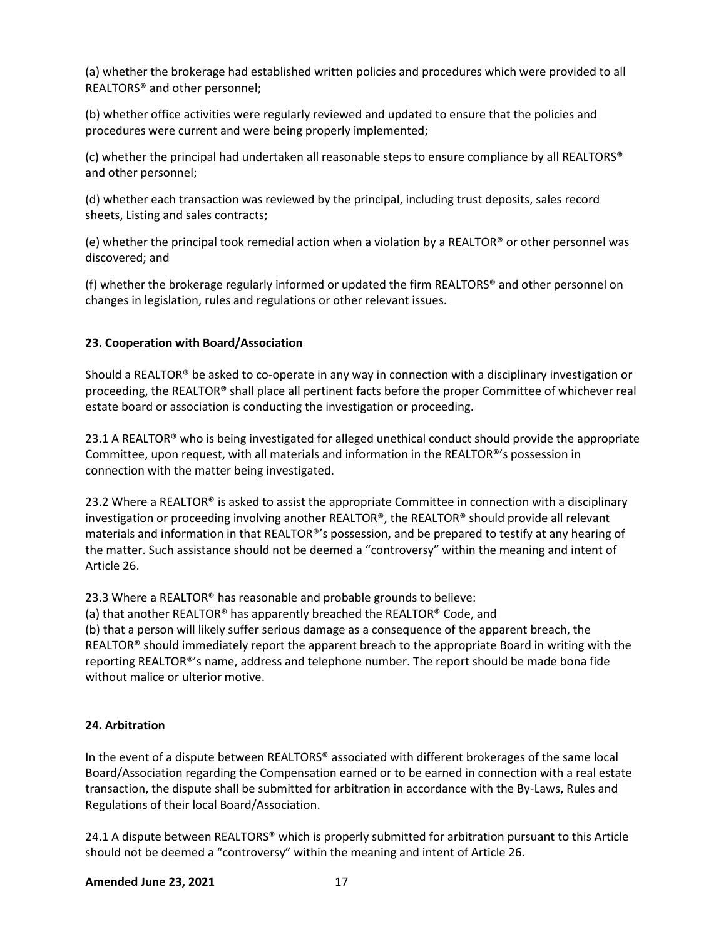(a) whether the brokerage had established written policies and procedures which were provided to all REALTORS® and other personnel;

(b) whether office activities were regularly reviewed and updated to ensure that the policies and procedures were current and were being properly implemented;

(c) whether the principal had undertaken all reasonable steps to ensure compliance by all REALTORS® and other personnel;

(d) whether each transaction was reviewed by the principal, including trust deposits, sales record sheets, Listing and sales contracts;

(e) whether the principal took remedial action when a violation by a REALTOR® or other personnel was discovered; and

(f) whether the brokerage regularly informed or updated the firm REALTORS® and other personnel on changes in legislation, rules and regulations or other relevant issues.

#### **23. Cooperation with Board/Association**

Should a REALTOR® be asked to co-operate in any way in connection with a disciplinary investigation or proceeding, the REALTOR® shall place all pertinent facts before the proper Committee of whichever real estate board or association is conducting the investigation or proceeding.

23.1 A REALTOR® who is being investigated for alleged unethical conduct should provide the appropriate Committee, upon request, with all materials and information in the REALTOR®'s possession in connection with the matter being investigated.

23.2 Where a REALTOR® is asked to assist the appropriate Committee in connection with a disciplinary investigation or proceeding involving another REALTOR®, the REALTOR® should provide all relevant materials and information in that REALTOR®'s possession, and be prepared to testify at any hearing of the matter. Such assistance should not be deemed a "controversy" within the meaning and intent of Article 26.

23.3 Where a REALTOR® has reasonable and probable grounds to believe:

(a) that another REALTOR® has apparently breached the REALTOR® Code, and (b) that a person will likely suffer serious damage as a consequence of the apparent breach, the REALTOR® should immediately report the apparent breach to the appropriate Board in writing with the reporting REALTOR®'s name, address and telephone number. The report should be made bona fide without malice or ulterior motive.

#### **24. Arbitration**

In the event of a dispute between REALTORS® associated with different brokerages of the same local Board/Association regarding the Compensation earned or to be earned in connection with a real estate transaction, the dispute shall be submitted for arbitration in accordance with the By-Laws, Rules and Regulations of their local Board/Association.

24.1 A dispute between REALTORS® which is properly submitted for arbitration pursuant to this Article should not be deemed a "controversy" within the meaning and intent of Article 26.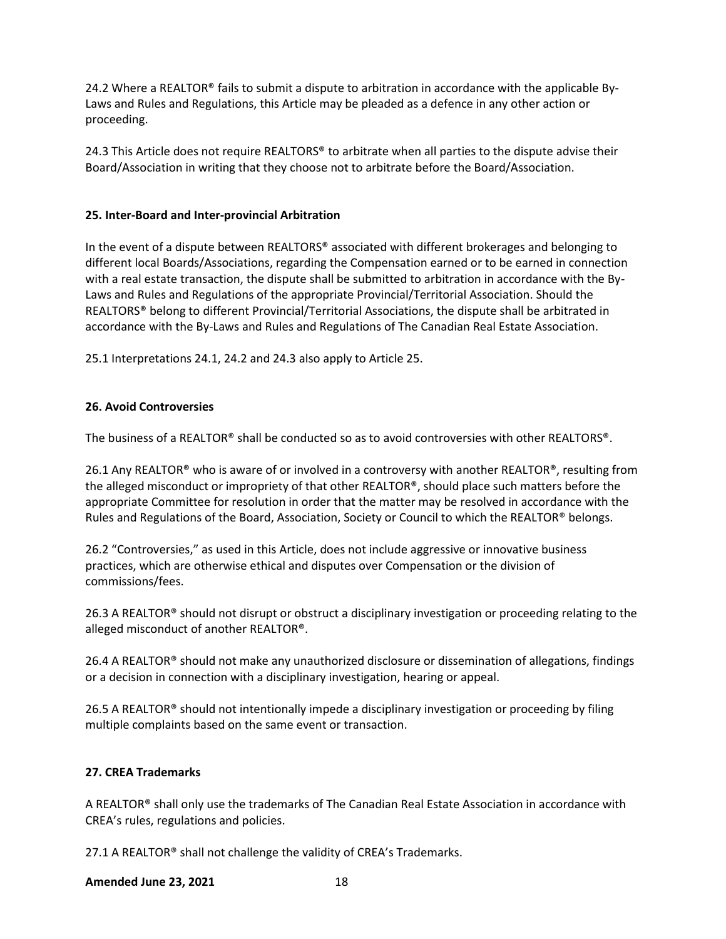24.2 Where a REALTOR® fails to submit a dispute to arbitration in accordance with the applicable By-Laws and Rules and Regulations, this Article may be pleaded as a defence in any other action or proceeding.

24.3 This Article does not require REALTORS® to arbitrate when all parties to the dispute advise their Board/Association in writing that they choose not to arbitrate before the Board/Association.

#### **25. Inter-Board and Inter-provincial Arbitration**

In the event of a dispute between REALTORS® associated with different brokerages and belonging to different local Boards/Associations, regarding the Compensation earned or to be earned in connection with a real estate transaction, the dispute shall be submitted to arbitration in accordance with the By-Laws and Rules and Regulations of the appropriate Provincial/Territorial Association. Should the REALTORS® belong to different Provincial/Territorial Associations, the dispute shall be arbitrated in accordance with the By-Laws and Rules and Regulations of The Canadian Real Estate Association.

25.1 Interpretations 24.1, 24.2 and 24.3 also apply to Article 25.

#### **26. Avoid Controversies**

The business of a REALTOR® shall be conducted so as to avoid controversies with other REALTORS®.

26.1 Any REALTOR® who is aware of or involved in a controversy with another REALTOR®, resulting from the alleged misconduct or impropriety of that other REALTOR®, should place such matters before the appropriate Committee for resolution in order that the matter may be resolved in accordance with the Rules and Regulations of the Board, Association, Society or Council to which the REALTOR® belongs.

26.2 "Controversies," as used in this Article, does not include aggressive or innovative business practices, which are otherwise ethical and disputes over Compensation or the division of commissions/fees.

26.3 A REALTOR® should not disrupt or obstruct a disciplinary investigation or proceeding relating to the alleged misconduct of another REALTOR®.

26.4 A REALTOR® should not make any unauthorized disclosure or dissemination of allegations, findings or a decision in connection with a disciplinary investigation, hearing or appeal.

26.5 A REALTOR® should not intentionally impede a disciplinary investigation or proceeding by filing multiple complaints based on the same event or transaction.

#### **27. CREA Trademarks**

A REALTOR® shall only use the trademarks of The Canadian Real Estate Association in accordance with CREA's rules, regulations and policies.

27.1 A REALTOR® shall not challenge the validity of CREA's Trademarks.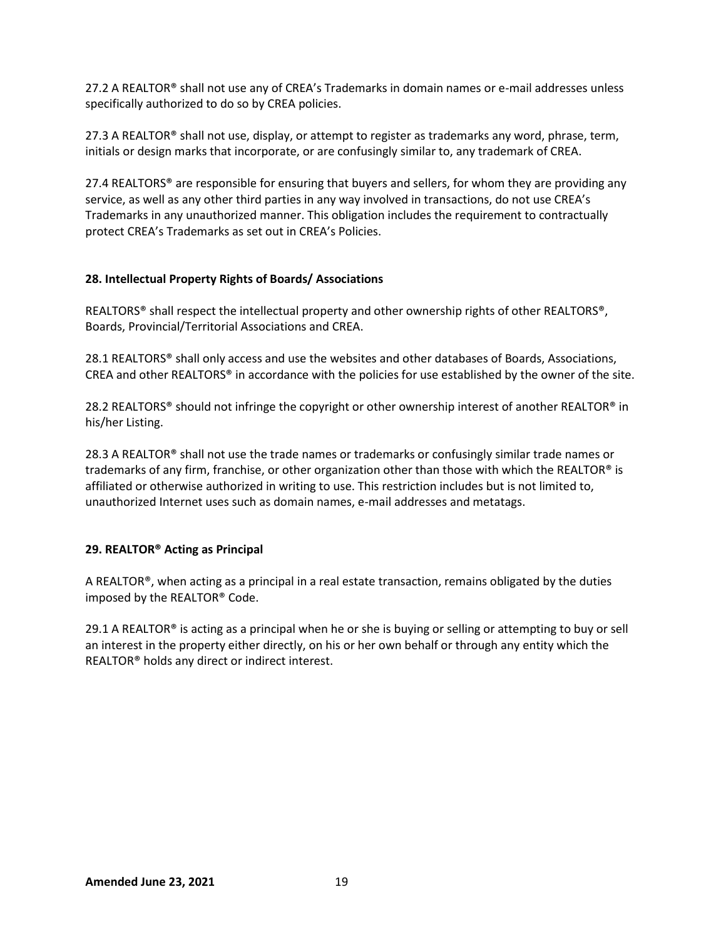27.2 A REALTOR® shall not use any of CREA's Trademarks in domain names or e-mail addresses unless specifically authorized to do so by CREA policies.

27.3 A REALTOR® shall not use, display, or attempt to register as trademarks any word, phrase, term, initials or design marks that incorporate, or are confusingly similar to, any trademark of CREA.

27.4 REALTORS<sup>®</sup> are responsible for ensuring that buyers and sellers, for whom they are providing any service, as well as any other third parties in any way involved in transactions, do not use CREA's Trademarks in any unauthorized manner. This obligation includes the requirement to contractually protect CREA's Trademarks as set out in CREA's Policies.

#### **28. Intellectual Property Rights of Boards/ Associations**

REALTORS® shall respect the intellectual property and other ownership rights of other REALTORS®, Boards, Provincial/Territorial Associations and CREA.

28.1 REALTORS® shall only access and use the websites and other databases of Boards, Associations, CREA and other REALTORS® in accordance with the policies for use established by the owner of the site.

28.2 REALTORS<sup>®</sup> should not infringe the copyright or other ownership interest of another REALTOR<sup>®</sup> in his/her Listing.

28.3 A REALTOR<sup>®</sup> shall not use the trade names or trademarks or confusingly similar trade names or trademarks of any firm, franchise, or other organization other than those with which the REALTOR® is affiliated or otherwise authorized in writing to use. This restriction includes but is not limited to, unauthorized Internet uses such as domain names, e-mail addresses and metatags.

#### **29. REALTOR® Acting as Principal**

A REALTOR®, when acting as a principal in a real estate transaction, remains obligated by the duties imposed by the REALTOR® Code.

<span id="page-18-0"></span>29.1 A REALTOR® is acting as a principal when he or she is buying or selling or attempting to buy or sell an interest in the property either directly, on his or her own behalf or through any entity which the REALTOR® holds any direct or indirect interest.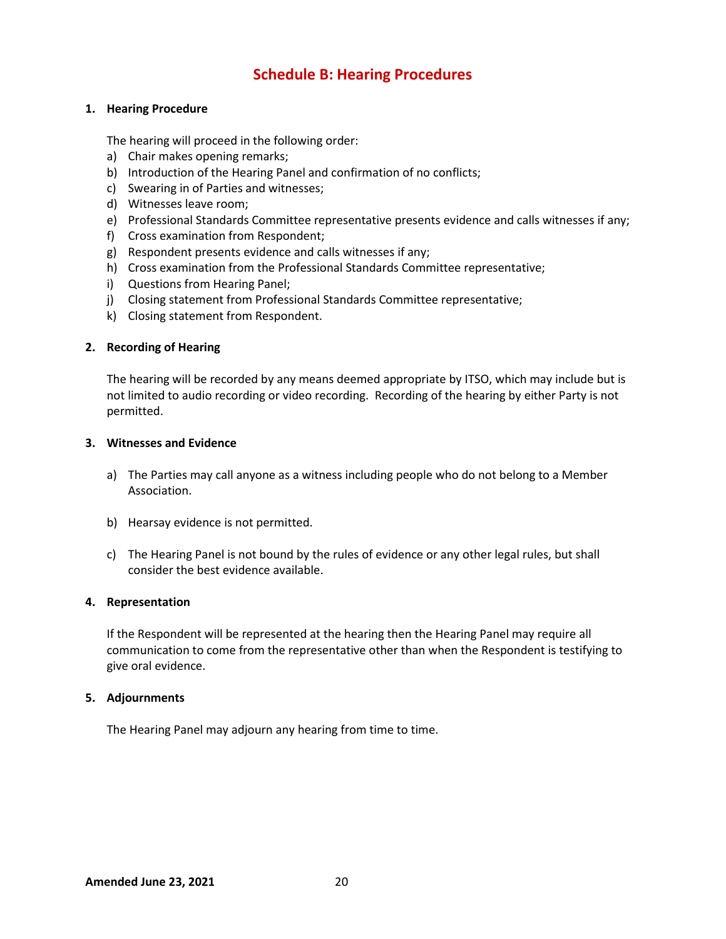# **Schedule B: Hearing Procedures**

#### **1. Hearing Procedure**

The hearing will proceed in the following order:

- a) Chair makes opening remarks;
- b) Introduction of the Hearing Panel and confirmation of no conflicts;
- c) Swearing in of Parties and witnesses;
- d) Witnesses leave room;
- e) Professional Standards Committee representative presents evidence and calls witnesses if any;
- f) Cross examination from Respondent;
- g) Respondent presents evidence and calls witnesses if any;
- h) Cross examination from the Professional Standards Committee representative;
- i) Questions from Hearing Panel;
- j) Closing statement from Professional Standards Committee representative;
- k) Closing statement from Respondent.

#### **2. Recording of Hearing**

The hearing will be recorded by any means deemed appropriate by ITSO, which may include but is not limited to audio recording or video recording. Recording of the hearing by either Party is not permitted.

#### **3. Witnesses and Evidence**

- a) The Parties may call anyone as a witness including people who do not belong to a Member Association.
- b) Hearsay evidence is not permitted.
- c) The Hearing Panel is not bound by the rules of evidence or any other legal rules, but shall consider the best evidence available.

#### **4. Representation**

If the Respondent will be represented at the hearing then the Hearing Panel may require all communication to come from the representative other than when the Respondent is testifying to give oral evidence.

#### **5. Adjournments**

<span id="page-19-0"></span>The Hearing Panel may adjourn any hearing from time to time.